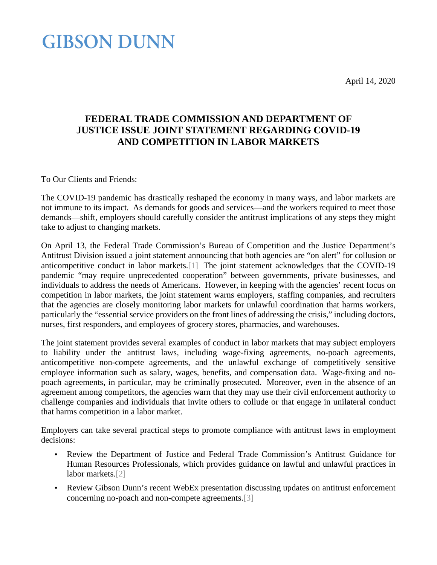April 14, 2020

## **GIBSON DUNN**

## **FEDERAL TRADE COMMISSION AND DEPARTMENT OF JUSTICE ISSUE JOINT STATEMENT REGARDING COVID-19 AND COMPETITION IN LABOR MARKETS**

To Our Clients and Friends:

The COVID-19 pandemic has drastically reshaped the economy in many ways, and labor markets are not immune to its impact. As demands for goods and services—and the workers required to meet those demands—shift, employers should carefully consider the antitrust implications of any steps they might take to adjust to changing markets.

On April 13, the Federal Trade Commission's Bureau of Competition and the Justice Department's Antitrust Division issued a joint statement announcing that both agencies are "on alert" for collusion or anticompetitive conduct in labor markets[.\[1\]](#page-1-0) The joint statement acknowledges that the COVID-19 pandemic "may require unprecedented cooperation" between governments, private businesses, and individuals to address the needs of Americans. However, in keeping with the agencies' recent focus on competition in labor markets, the joint statement warns employers, staffing companies, and recruiters that the agencies are closely monitoring labor markets for unlawful coordination that harms workers, particularly the "essential service providers on the front lines of addressing the crisis," including doctors, nurses, first responders, and employees of grocery stores, pharmacies, and warehouses.

The joint statement provides several examples of conduct in labor markets that may subject employers to liability under the antitrust laws, including wage-fixing agreements, no-poach agreements, anticompetitive non-compete agreements, and the unlawful exchange of competitively sensitive employee information such as salary, wages, benefits, and compensation data. Wage-fixing and nopoach agreements, in particular, may be criminally prosecuted. Moreover, even in the absence of an agreement among competitors, the agencies warn that they may use their civil enforcement authority to challenge companies and individuals that invite others to collude or that engage in unilateral conduct that harms competition in a labor market.

Employers can take several practical steps to promote compliance with antitrust laws in employment decisions:

- Review the Department of Justice and Federal Trade Commission's Antitrust Guidance for Human Resources Professionals, which provides guidance on lawful and unlawful practices in labor markets.<sup>[2]</sup>
- Review Gibson Dunn's recent WebEx presentation discussing updates on antitrust enforcement concerning no-poach and non-compete agreements[.\[3\]](#page-1-2)